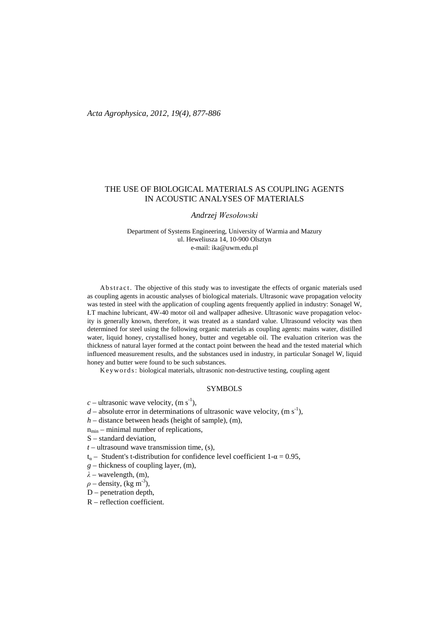# THE USE OF BIOLOGICAL MATERIALS AS COUPLING AGENTS IN ACOUSTIC ANALYSES OF MATERIALS

### *Andrzej Wesołowski*

Department of Systems Engineering, University of Warmia and Mazury ul. Heweliusza 14, 10-900 Olsztyn e-mail: ika@uwm.edu.pl

Abstract. The objective of this study was to investigate the effects of organic materials used as coupling agents in acoustic analyses of biological materials. Ultrasonic wave propagation velocity was tested in steel with the application of coupling agents frequently applied in industry: Sonagel W, ŁT machine lubricant, 4W-40 motor oil and wallpaper adhesive. Ultrasonic wave propagation velocity is generally known, therefore, it was treated as a standard value. Ultrasound velocity was then determined for steel using the following organic materials as coupling agents: mains water, distilled water, liquid honey, crystallised honey, butter and vegetable oil. The evaluation criterion was the thickness of natural layer formed at the contact point between the head and the tested material which influenced measurement results, and the substances used in industry, in particular Sonagel W, liquid honey and butter were found to be such substances.

Keywords: biological materials, ultrasonic non-destructive testing, coupling agent

### SYMBOLS

- $c$  ultrasonic wave velocity, (m s<sup>-1</sup>),
- $d$  absolute error in determinations of ultrasonic wave velocity,  $(m s<sup>-1</sup>)$ ,
- *h* distance between heads (height of sample), (m),
- $n_{min}$  minimal number of replications,
- S standard deviation,
- $t$  ultrasound wave transmission time, (s),
- $t_{\alpha}$  Student's t-distribution for confidence level coefficient 1- $\alpha$  = 0.95,
- *g* thickness of coupling layer, (m),

*λ* – wavelength, (m),

- $\rho$  density, (kg m<sup>-3</sup>),
- D penetration depth,
- R reflection coefficient.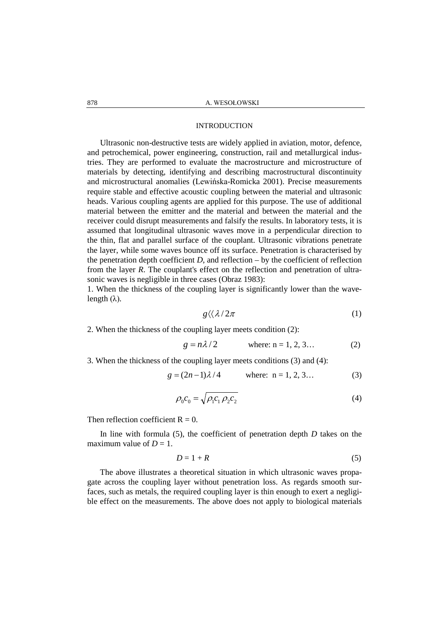### INTRODUCTION

Ultrasonic non-destructive tests are widely applied in aviation, motor, defence, and petrochemical, power engineering, construction, rail and metallurgical industries. They are performed to evaluate the macrostructure and microstructure of materials by detecting, identifying and describing macrostructural discontinuity and microstructural anomalies (Lewińska-Romicka 2001). Precise measurements require stable and effective acoustic coupling between the material and ultrasonic heads. Various coupling agents are applied for this purpose. The use of additional material between the emitter and the material and between the material and the receiver could disrupt measurements and falsify the results. In laboratory tests, it is assumed that longitudinal ultrasonic waves move in a perpendicular direction to the thin, flat and parallel surface of the couplant. Ultrasonic vibrations penetrate the layer, while some waves bounce off its surface. Penetration is characterised by the penetration depth coefficient  $D$ , and reflection – by the coefficient of reflection from the layer *R*. The couplant's effect on the reflection and penetration of ultrasonic waves is negligible in three cases (Obraz 1983):

1. When the thickness of the coupling layer is significantly lower than the wavelength  $(\lambda)$ .

$$
g\langle\langle \lambda/2\pi \hspace{1.5cm} (1)
$$

2. When the thickness of the coupling layer meets condition (2):

$$
g = n\lambda/2
$$
 where: n = 1, 2, 3... (2)

3. When the thickness of the coupling layer meets conditions (3) and (4):

$$
g = (2n-1)\lambda/4 \qquad \text{where: } n = 1, 2, 3... \tag{3}
$$

$$
\rho_0 c_0 = \sqrt{\rho_1 c_1 \rho_2 c_2} \tag{4}
$$

Then reflection coefficient  $R = 0$ .

In line with formula (5), the coefficient of penetration depth *D* takes on the maximum value of  $D = 1$ .

$$
D=1+R
$$
 (5)

The above illustrates a theoretical situation in which ultrasonic waves propagate across the coupling layer without penetration loss. As regards smooth surfaces, such as metals, the required coupling layer is thin enough to exert a negligible effect on the measurements. The above does not apply to biological materials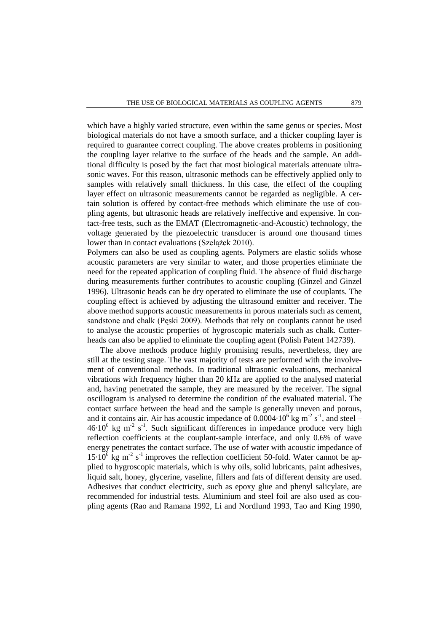which have a highly varied structure, even within the same genus or species. Most biological materials do not have a smooth surface, and a thicker coupling layer is required to guarantee correct coupling. The above creates problems in positioning the coupling layer relative to the surface of the heads and the sample. An additional difficulty is posed by the fact that most biological materials attenuate ultrasonic waves. For this reason, ultrasonic methods can be effectively applied only to samples with relatively small thickness. In this case, the effect of the coupling layer effect on ultrasonic measurements cannot be regarded as negligible. A certain solution is offered by contact-free methods which eliminate the use of coupling agents, but ultrasonic heads are relatively ineffective and expensive. In contact-free tests, such as the EMAT (Electromagnetic-and-Acoustic) technology, the voltage generated by the piezoelectric transducer is around one thousand times lower than in contact evaluations (Szelążek 2010).

Polymers can also be used as coupling agents. Polymers are elastic solids whose acoustic parameters are very similar to water, and those properties eliminate the need for the repeated application of coupling fluid. The absence of fluid discharge during measurements further contributes to acoustic coupling (Ginzel and Ginzel 1996). Ultrasonic heads can be dry operated to eliminate the use of couplants. The coupling effect is achieved by adjusting the ultrasound emitter and receiver. The above method supports acoustic measurements in porous materials such as cement, sandstone and chalk (Pęski 2009). Methods that rely on couplants cannot be used to analyse the acoustic properties of hygroscopic materials such as chalk. Cutterheads can also be applied to eliminate the coupling agent (Polish Patent 142739).

The above methods produce highly promising results, nevertheless, they are still at the testing stage. The vast majority of tests are performed with the involvement of conventional methods. In traditional ultrasonic evaluations, mechanical vibrations with frequency higher than 20 kHz are applied to the analysed material and, having penetrated the sample, they are measured by the receiver. The signal oscillogram is analysed to determine the condition of the evaluated material. The contact surface between the head and the sample is generally uneven and porous, and it contains air. Air has acoustic impedance of  $0.0004 \cdot 10^6$  kg m<sup>-2</sup> s<sup>-1</sup>, and steel –  $46·10<sup>6</sup>$  kg m<sup>-2</sup> s<sup>-1</sup>. Such significant differences in impedance produce very high reflection coefficients at the couplant-sample interface, and only 0.6% of wave energy penetrates the contact surface. The use of water with acoustic impedance of  $15 \cdot 10^6$  kg m<sup>-2</sup> s<sup>-1</sup> improves the reflection coefficient 50-fold. Water cannot be applied to hygroscopic materials, which is why oils, solid lubricants, paint adhesives, liquid salt, honey, glycerine, vaseline, fillers and fats of different density are used. Adhesives that conduct electricity, such as epoxy glue and phenyl salicylate, are recommended for industrial tests. Aluminium and steel foil are also used as coupling agents (Rao and Ramana 1992, Li and Nordlund 1993, Tao and King 1990,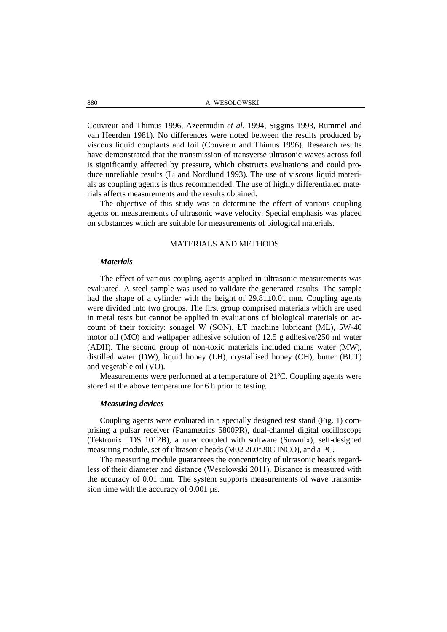Couvreur and Thimus 1996, Azeemudin *et al*. 1994, Siggins 1993, Rummel and van Heerden 1981). No differences were noted between the results produced by viscous liquid couplants and foil (Couvreur and Thimus 1996). Research results have demonstrated that the transmission of transverse ultrasonic waves across foil is significantly affected by pressure, which obstructs evaluations and could produce unreliable results (Li and Nordlund 1993). The use of viscous liquid materials as coupling agents is thus recommended. The use of highly differentiated materials affects measurements and the results obtained.

The objective of this study was to determine the effect of various coupling agents on measurements of ultrasonic wave velocity. Special emphasis was placed on substances which are suitable for measurements of biological materials.

### MATERIALS AND METHODS

### *Materials*

The effect of various coupling agents applied in ultrasonic measurements was evaluated. A steel sample was used to validate the generated results. The sample had the shape of a cylinder with the height of  $29.81\pm0.01$  mm. Coupling agents were divided into two groups. The first group comprised materials which are used in metal tests but cannot be applied in evaluations of biological materials on account of their toxicity: sonagel W (SON), ŁT machine lubricant (ML), 5W-40 motor oil (MO) and wallpaper adhesive solution of 12.5 g adhesive/250 ml water (ADH). The second group of non-toxic materials included mains water (MW), distilled water (DW), liquid honey (LH), crystallised honey (CH), butter (BUT) and vegetable oil (VO).

Measurements were performed at a temperature of 21ºC. Coupling agents were stored at the above temperature for 6 h prior to testing.

### *Measuring devices*

Coupling agents were evaluated in a specially designed test stand (Fig. 1) comprising a pulsar receiver (Panametrics 5800PR), dual-channel digital oscilloscope (Tektronix TDS 1012B), a ruler coupled with software (Suwmix), self-designed measuring module, set of ultrasonic heads (M02 2L0°20C INCO), and a PC.

The measuring module guarantees the concentricity of ultrasonic heads regardless of their diameter and distance (Wesołowski 2011). Distance is measured with the accuracy of 0.01 mm. The system supports measurements of wave transmission time with the accuracy of 0.001  $\mu$ s.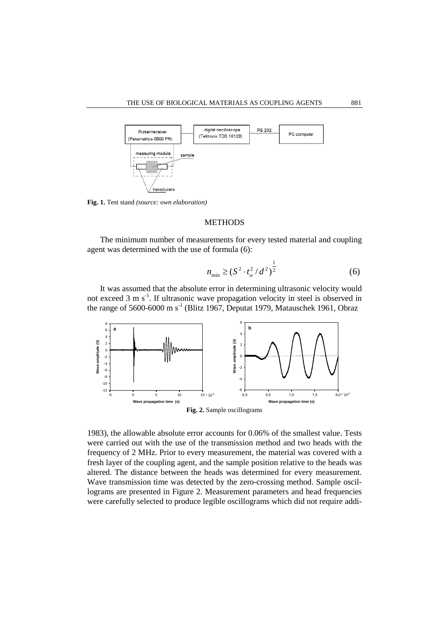

**Fig. 1.** Test stand *(source: own elaboration)*

## **METHODS**

The minimum number of measurements for every tested material and coupling agent was determined with the use of formula (6):

$$
n_{\min} \ge (S^2 \cdot t_\alpha^2 / d^2)^{\frac{1}{2}}
$$
 (6)

1

It was assumed that the absolute error in determining ultrasonic velocity would not exceed 3 m s<sup>-1</sup>. If ultrasonic wave propagation velocity in steel is observed in the range of 5600-6000 m s<sup>-1</sup> (Blitz 1967, Deputat 1979, Matauschek 1961, Obraz



1983), the allowable absolute error accounts for 0.06% of the smallest value. Tests were carried out with the use of the transmission method and two heads with the frequency of 2 MHz. Prior to every measurement, the material was covered with a fresh layer of the coupling agent, and the sample position relative to the heads was altered. The distance between the heads was determined for every measurement. Wave transmission time was detected by the zero-crossing method. Sample oscillograms are presented in Figure 2. Measurement parameters and head frequencies were carefully selected to produce legible oscillograms which did not require addi-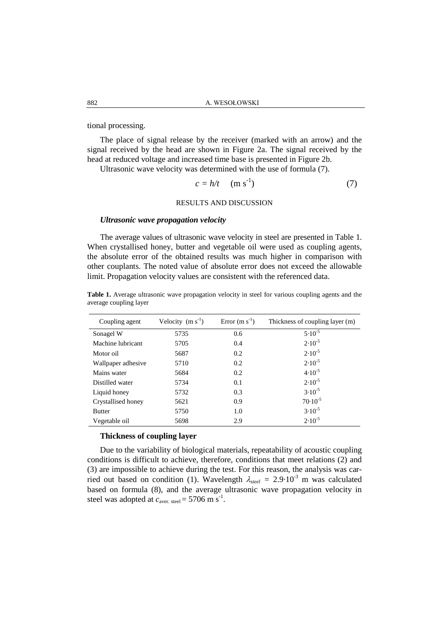tional processing.

The place of signal release by the receiver (marked with an arrow) and the signal received by the head are shown in Figure 2a. The signal received by the head at reduced voltage and increased time base is presented in Figure 2b.

Ultrasonic wave velocity was determined with the use of formula (7).

$$
c = h/t \quad (\text{m s}^{-1}) \tag{7}
$$

## RESULTS AND DISCUSSION

### *Ultrasonic wave propagation velocity*

The average values of ultrasonic wave velocity in steel are presented in Table 1. When crystallised honey, butter and vegetable oil were used as coupling agents, the absolute error of the obtained results was much higher in comparison with other couplants. The noted value of absolute error does not exceed the allowable limit. Propagation velocity values are consistent with the referenced data.

| Table 1. Average ultrasonic wave propagation velocity in steel for various coupling agents and the |  |  |  |
|----------------------------------------------------------------------------------------------------|--|--|--|
| average coupling layer                                                                             |  |  |  |

| Coupling agent     | Velocity $(m s-1)$ | Error $(m s-1)$ | Thickness of coupling layer (m) |
|--------------------|--------------------|-----------------|---------------------------------|
| Sonagel W          | 5735               | 0.6             | $5.10^{-5}$                     |
| Machine lubricant  | 5705               | 0.4             | $2.10^{-5}$                     |
| Motor oil          | 5687               | 0.2             | $2.10^{-5}$                     |
| Wallpaper adhesive | 5710               | 0.2             | $2.10^{-5}$                     |
| Mains water        | 5684               | 0.2             | $4.10^{-5}$                     |
| Distilled water    | 5734               | 0.1             | $2.10^{-5}$                     |
| Liquid honey       | 5732               | 0.3             | $3.10^{-5}$                     |
| Crystallised honey | 5621               | 0.9             | $70.10^{-5}$                    |
| <b>Butter</b>      | 5750               | 1.0             | $3.10^{-5}$                     |
| Vegetable oil      | 5698               | 2.9             | $2.10^{-5}$                     |

### **Thickness of coupling layer**

Due to the variability of biological materials, repeatability of acoustic coupling conditions is difficult to achieve, therefore, conditions that meet relations (2) and (3) are impossible to achieve during the test. For this reason, the analysis was carried out based on condition (1). Wavelength  $\lambda_{\text{steel}} = 2.9 \cdot 10^{-3}$  m was calculated based on formula (8), and the average ultrasonic wave propagation velocity in steel was adopted at  $c_{\text{aver. steel}} = 5706 \text{ m s}^{-1}$ .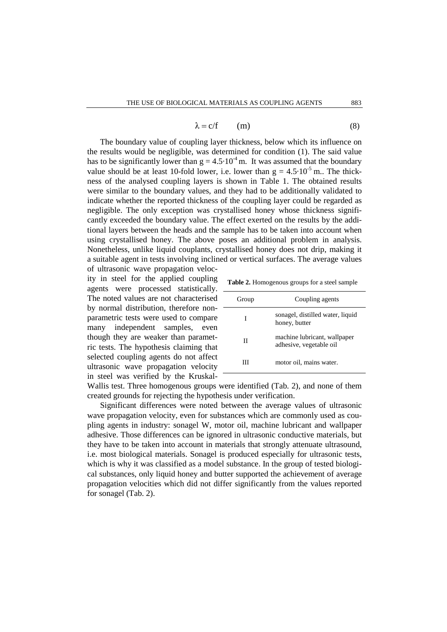$$
\lambda = c/f \qquad (m) \tag{8}
$$

The boundary value of coupling layer thickness, below which its influence on the results would be negligible, was determined for condition (1). The said value has to be significantly lower than  $g = 4.5 \cdot 10^{-4}$  m. It was assumed that the boundary value should be at least 10-fold lower, i.e. lower than  $g = 4.5 \cdot 10^{-5}$  m. The thickness of the analysed coupling layers is shown in Table 1. The obtained results were similar to the boundary values, and they had to be additionally validated to indicate whether the reported thickness of the coupling layer could be regarded as negligible. The only exception was crystallised honey whose thickness significantly exceeded the boundary value. The effect exerted on the results by the additional layers between the heads and the sample has to be taken into account when using crystallised honey. The above poses an additional problem in analysis. Nonetheless, unlike liquid couplants, crystallised honey does not drip, making it a suitable agent in tests involving inclined or vertical surfaces. The average values

of ultrasonic wave propagation velocity in steel for the applied coupling agents were processed statistically. The noted values are not characterised by normal distribution, therefore nonparametric tests were used to compare many independent samples, even though they are weaker than parametric tests. The hypothesis claiming that selected coupling agents do not affect ultrasonic wave propagation velocity in steel was verified by the Kruskal-

**Table 2.** Homogenous groups for a steel sample

| Group | Coupling agents                                         |
|-------|---------------------------------------------------------|
| T     | sonagel, distilled water, liquid<br>honey, butter       |
| Н     | machine lubricant, wallpaper<br>adhesive, vegetable oil |
|       | motor oil, mains water.                                 |

Wallis test. Three homogenous groups were identified (Tab. 2), and none of them created grounds for rejecting the hypothesis under verification.

Significant differences were noted between the average values of ultrasonic wave propagation velocity, even for substances which are commonly used as coupling agents in industry: sonagel W, motor oil, machine lubricant and wallpaper adhesive. Those differences can be ignored in ultrasonic conductive materials, but they have to be taken into account in materials that strongly attenuate ultrasound, i.e. most biological materials. Sonagel is produced especially for ultrasonic tests, which is why it was classified as a model substance. In the group of tested biological substances, only liquid honey and butter supported the achievement of average propagation velocities which did not differ significantly from the values reported for sonagel (Tab. 2).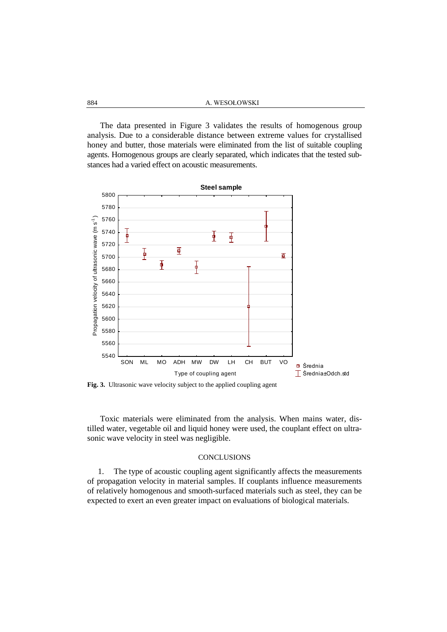The data presented in Figure 3 validates the results of homogenous group analysis. Due to a considerable distance between extreme values for crystallised honey and butter, those materials were eliminated from the list of suitable coupling agents. Homogenous groups are clearly separated, which indicates that the tested substances had a varied effect on acoustic measurements.



**Fig. 3.** Ultrasonic wave velocity subject to the applied coupling agent

Toxic materials were eliminated from the analysis. When mains water, distilled water, vegetable oil and liquid honey were used, the couplant effect on ultrasonic wave velocity in steel was negligible.

### **CONCLUSIONS**

1. The type of acoustic coupling agent significantly affects the measurements of propagation velocity in material samples. If couplants influence measurements of relatively homogenous and smooth-surfaced materials such as steel, they can be expected to exert an even greater impact on evaluations of biological materials.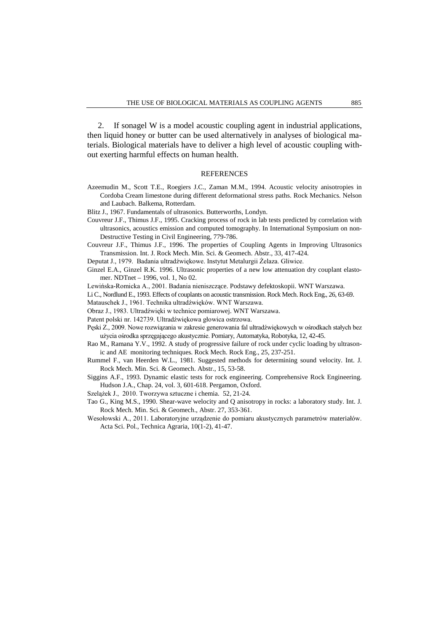2. If sonagel W is a model acoustic coupling agent in industrial applications, then liquid honey or butter can be used alternatively in analyses of biological materials. Biological materials have to deliver a high level of acoustic coupling without exerting harmful effects on human health.

### REFERENCES

- Azeemudin M., Scott T.E., Roegiers J.C., Zaman M.M., 1994. Acoustic velocity anisotropies in Cordoba Cream limestone during different deformational stress paths. Rock Mechanics. Nelson and Laubach. Balkema, Rotterdam.
- Blitz J., 1967. Fundamentals of ultrasonics. Butterworths, Londyn.
- Couvreur J.F., Thimus J.F., 1995. Cracking process of rock in lab tests predicted by correlation with ultrasonics, acoustics emission and computed tomography. In International Symposium on non-Destructive Testing in Civil Engineering, 779-786.
- Couvreur J.F., Thimus J.F., 1996. The properties of Coupling Agents in Improving Ultrasonics Transmission. Int. J. Rock Mech. Min. Sci. & Geomech. Abstr., 33, 417-424.
- Deputat J., 1979. Badania ultradźwiękowe. Instytut Metalurgii Żelaza. Gliwice.
- Ginzel E.A., Ginzel R.K. 1996. Ultrasonic properties of a new low attenuation dry couplant elastomer. NDTnet – 1996, vol. 1, No 02.
- Lewińska-Romicka A., 2001. Badania nieniszczące. Podstawy defektoskopii. WNT Warszawa.
- Li C., Nordlund E., 1993. Effects of couplants on acoustic transmission. Rock Mech. Rock Eng., 26, 63-69.
- Matauschek J., 1961. Technika ultradźwięków. WNT Warszawa.
- Obraz J., 1983. Ultradźwięki w technice pomiarowej. WNT Warszawa.
- Patent polski nr. 142739. Ultradźwiękowa głowica ostrzowa.
- Pęski Z., 2009. Nowe rozwiązania w zakresie generowania fal ultradźwiękowych w ośrodkach stałych bez użycia ośrodka sprzęgającego akustycznie. Pomiary, Automatyka, Robotyka, 12, 42-45.
- Rao M., Ramana Y.V., 1992. A study of progressive failure of rock under cyclic loading by ultrasonic and AE monitoring techniques. Rock Mech. Rock Eng., 25, 237-251.
- Rummel F., van Heerden W.L., 1981. Suggested methods for determining sound velocity. Int. J. Rock Mech. Min. Sci. & Geomech. Abstr., 15, 53-58.
- Siggins A.F., 1993. Dynamic elastic tests for rock engineering. Comprehensive Rock Engineering. Hudson J.A., Chap. 24, vol. 3, 601-618. Pergamon, Oxford.
- Szelążek J., 2010. Tworzywa sztuczne i chemia. 52, 21-24.
- Tao G., King M.S., 1990. Shear-wave welocity and Q anisotropy in rocks: a laboratory study. Int. J. Rock Mech. Min. Sci. & Geomech., Abstr. 27, 353-361.
- Wesołowski A., 2011. Laboratoryjne urządzenie do pomiaru akustycznych parametrów materiałów. Acta Sci. Pol., Technica Agraria, 10(1-2), 41-47.